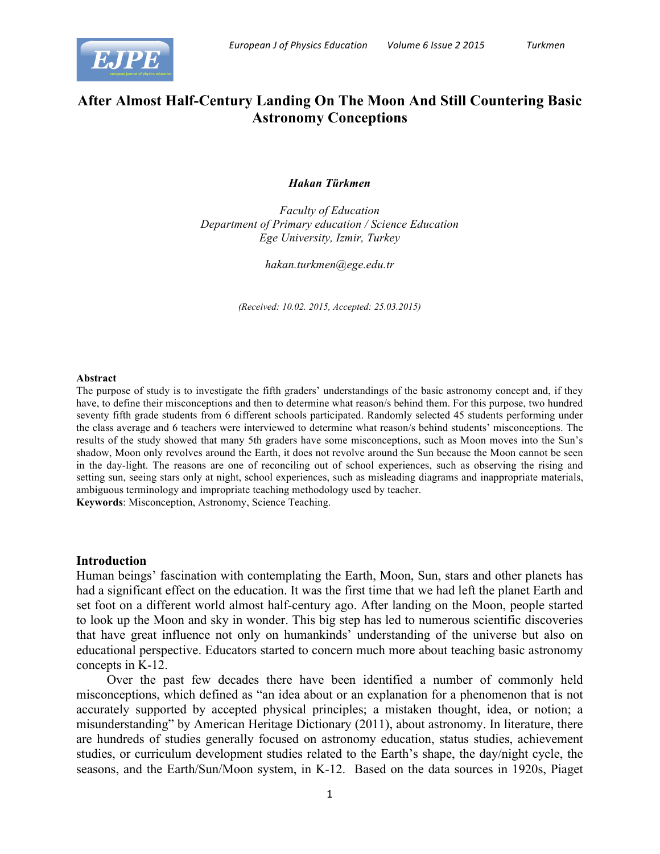

# **After Almost Half-Century Landing On The Moon And Still Countering Basic Astronomy Conceptions**

### *Hakan Türkmen*

*Faculty of Education Department of Primary education / Science Education Ege University, Izmir, Turkey*

*hakan.turkmen@ege.edu.tr*

*(Received: 10.02. 2015, Accepted: 25.03.2015)*

#### **Abstract**

The purpose of study is to investigate the fifth graders' understandings of the basic astronomy concept and, if they have, to define their misconceptions and then to determine what reason/s behind them. For this purpose, two hundred seventy fifth grade students from 6 different schools participated. Randomly selected 45 students performing under the class average and 6 teachers were interviewed to determine what reason/s behind students' misconceptions. The results of the study showed that many 5th graders have some misconceptions, such as Moon moves into the Sun's shadow, Moon only revolves around the Earth, it does not revolve around the Sun because the Moon cannot be seen in the day-light. The reasons are one of reconciling out of school experiences, such as observing the rising and setting sun, seeing stars only at night, school experiences, such as misleading diagrams and inappropriate materials, ambiguous terminology and impropriate teaching methodology used by teacher.

**Keywords**: Misconception, Astronomy, Science Teaching.

### **Introduction**

Human beings' fascination with contemplating the Earth, Moon, Sun, stars and other planets has had a significant effect on the education. It was the first time that we had left the planet Earth and set foot on a different world almost half-century ago. After landing on the Moon, people started to look up the Moon and sky in wonder. This big step has led to numerous scientific discoveries that have great influence not only on humankinds' understanding of the universe but also on educational perspective. Educators started to concern much more about teaching basic astronomy concepts in K-12.

Over the past few decades there have been identified a number of commonly held misconceptions, which defined as "an idea about or an explanation for a phenomenon that is not accurately supported by accepted physical principles; a mistaken thought, idea, or notion; a misunderstanding" by American Heritage Dictionary (2011), about astronomy. In literature, there are hundreds of studies generally focused on astronomy education, status studies, achievement studies, or curriculum development studies related to the Earth's shape, the day/night cycle, the seasons, and the Earth/Sun/Moon system, in K-12. Based on the data sources in 1920s, Piaget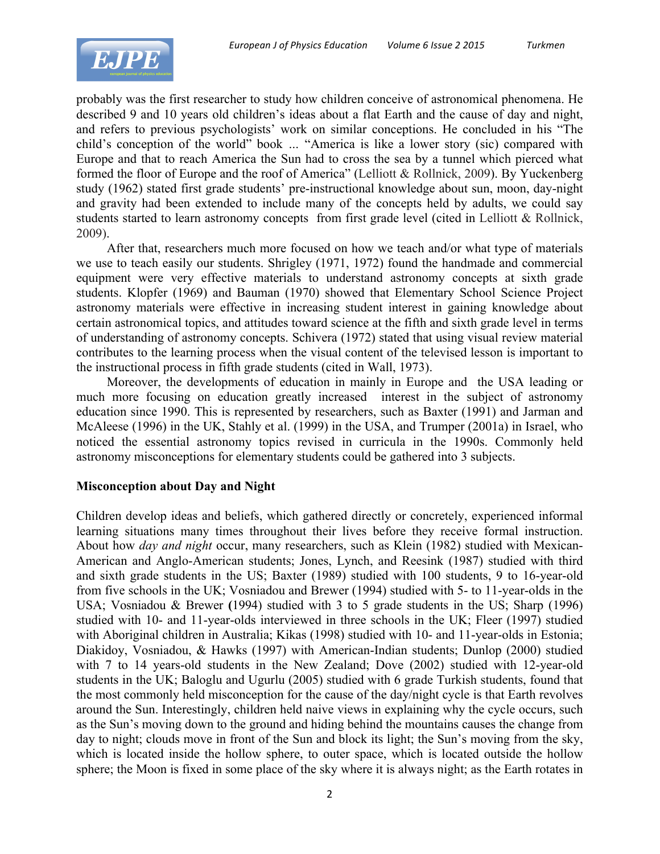

probably was the first researcher to study how children conceive of astronomical phenomena. He described 9 and 10 years old children's ideas about a flat Earth and the cause of day and night, and refers to previous psychologists' work on similar conceptions. He concluded in his "The child's conception of the world" book ... "America is like a lower story (sic) compared with Europe and that to reach America the Sun had to cross the sea by a tunnel which pierced what formed the floor of Europe and the roof of America" (Lelliott & Rollnick, 2009). By Yuckenberg study (1962) stated first grade students' pre-instructional knowledge about sun, moon, day-night and gravity had been extended to include many of the concepts held by adults, we could say students started to learn astronomy concepts from first grade level (cited in Lelliott & Rollnick, 2009).

After that, researchers much more focused on how we teach and/or what type of materials we use to teach easily our students. Shrigley (1971, 1972) found the handmade and commercial equipment were very effective materials to understand astronomy concepts at sixth grade students. Klopfer (1969) and Bauman (1970) showed that Elementary School Science Project astronomy materials were effective in increasing student interest in gaining knowledge about certain astronomical topics, and attitudes toward science at the fifth and sixth grade level in terms of understanding of astronomy concepts. Schivera (1972) stated that using visual review material contributes to the learning process when the visual content of the televised lesson is important to the instructional process in fifth grade students (cited in Wall, 1973).

Moreover, the developments of education in mainly in Europe and the USA leading or much more focusing on education greatly increased interest in the subject of astronomy education since 1990. This is represented by researchers, such as Baxter (1991) and Jarman and McAleese (1996) in the UK, Stahly et al. (1999) in the USA, and Trumper (2001a) in Israel, who noticed the essential astronomy topics revised in curricula in the 1990s. Commonly held astronomy misconceptions for elementary students could be gathered into 3 subjects.

## **Misconception about Day and Night**

Children develop ideas and beliefs, which gathered directly or concretely, experienced informal learning situations many times throughout their lives before they receive formal instruction. About how *day and night* occur, many researchers, such as Klein (1982) studied with Mexican-American and Anglo-American students; Jones, Lynch, and Reesink (1987) studied with third and sixth grade students in the US; Baxter (1989) studied with 100 students, 9 to 16-year-old from five schools in the UK; Vosniadou and Brewer (1994) studied with 5- to 11-year-olds in the USA; Vosniadou & Brewer **(**1994) studied with 3 to 5 grade students in the US; Sharp (1996) studied with 10- and 11-year-olds interviewed in three schools in the UK; Fleer (1997) studied with Aboriginal children in Australia; Kikas (1998) studied with 10- and 11-year-olds in Estonia; Diakidoy, Vosniadou, & Hawks (1997) with American-Indian students; Dunlop (2000) studied with 7 to 14 years-old students in the New Zealand; Dove (2002) studied with 12-year-old students in the UK; Baloglu and Ugurlu (2005) studied with 6 grade Turkish students, found that the most commonly held misconception for the cause of the day/night cycle is that Earth revolves around the Sun. Interestingly, children held naive views in explaining why the cycle occurs, such as the Sun's moving down to the ground and hiding behind the mountains causes the change from day to night; clouds move in front of the Sun and block its light; the Sun's moving from the sky, which is located inside the hollow sphere, to outer space, which is located outside the hollow sphere; the Moon is fixed in some place of the sky where it is always night; as the Earth rotates in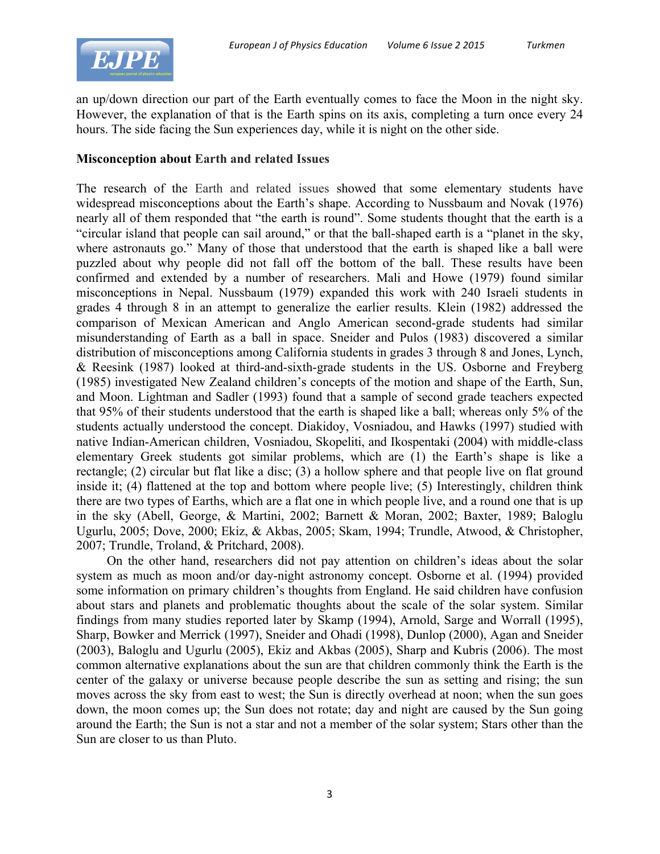

an up/down direction our part of the Earth eventually comes to face the Moon in the night sky. However, the explanation of that is the Earth spins on its axis, completing a turn once every 24 hours. The side facing the Sun experiences day, while it is night on the other side.

## **Misconception about Earth and related Issues**

The research of the Earth and related issues showed that some elementary students have widespread misconceptions about the Earth's shape. According to Nussbaum and Novak (1976) nearly all of them responded that "the earth is round". Some students thought that the earth is a "circular island that people can sail around," or that the ball-shaped earth is a "planet in the sky, where astronauts go." Many of those that understood that the earth is shaped like a ball were puzzled about why people did not fall off the bottom of the ball. These results have been confirmed and extended by a number of researchers. Mali and Howe (1979) found similar misconceptions in Nepal. Nussbaum (1979) expanded this work with 240 Israeli students in grades 4 through 8 in an attempt to generalize the earlier results. Klein (1982) addressed the comparison of Mexican American and Anglo American second-grade students had similar misunderstanding of Earth as a ball in space. Sneider and Pulos (1983) discovered a similar distribution of misconceptions among California students in grades 3 through 8 and Jones, Lynch, & Reesink (1987) looked at third-and-sixth-grade students in the US. Osborne and Freyberg (1985) investigated New Zealand children's concepts of the motion and shape of the Earth, Sun, and Moon. Lightman and Sadler (1993) found that a sample of second grade teachers expected that 95% of their students understood that the earth is shaped like a ball; whereas only 5% of the students actually understood the concept. Diakidoy, Vosniadou, and Hawks (1997) studied with native Indian-American children, Vosniadou, Skopeliti, and Ikospentaki (2004) with middle-class elementary Greek students got similar problems, which are (1) the Earth's shape is like a rectangle; (2) circular but flat like a disc; (3) a hollow sphere and that people live on flat ground inside it; (4) flattened at the top and bottom where people live; (5) Interestingly, children think there are two types of Earths, which are a flat one in which people live, and a round one that is up in the sky (Abell, George, & Martini, 2002; Barnett & Moran, 2002; Baxter, 1989; Baloglu Ugurlu, 2005; Dove, 2000; Ekiz, & Akbas, 2005; Skam, 1994; Trundle, Atwood, & Christopher, 2007; Trundle, Troland, & Pritchard, 2008).

On the other hand, researchers did not pay attention on children's ideas about the solar system as much as moon and/or day-night astronomy concept. Osborne et al. (1994) provided some information on primary children's thoughts from England. He said children have confusion about stars and planets and problematic thoughts about the scale of the solar system. Similar findings from many studies reported later by Skamp (1994), Arnold, Sarge and Worrall (1995), Sharp, Bowker and Merrick (1997), Sneider and Ohadi (1998), Dunlop (2000), Agan and Sneider (2003), Baloglu and Ugurlu (2005), Ekiz and Akbas (2005), Sharp and Kubris (2006). The most common alternative explanations about the sun are that children commonly think the Earth is the center of the galaxy or universe because people describe the sun as setting and rising; the sun moves across the sky from east to west; the Sun is directly overhead at noon; when the sun goes down, the moon comes up; the Sun does not rotate; day and night are caused by the Sun going around the Earth; the Sun is not a star and not a member of the solar system; Stars other than the Sun are closer to us than Pluto.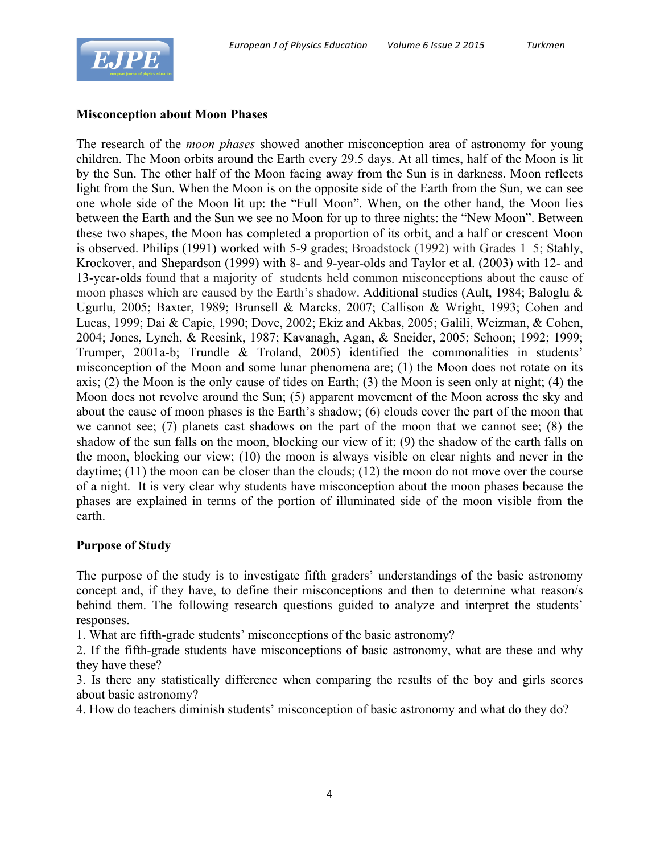

## **Misconception about Moon Phases**

The research of the *moon phases* showed another misconception area of astronomy for young children. The Moon orbits around the Earth every 29.5 days. At all times, half of the Moon is lit by the Sun. The other half of the Moon facing away from the Sun is in darkness. Moon reflects light from the Sun. When the Moon is on the opposite side of the Earth from the Sun, we can see one whole side of the Moon lit up: the "Full Moon". When, on the other hand, the Moon lies between the Earth and the Sun we see no Moon for up to three nights: the "New Moon". Between these two shapes, the Moon has completed a proportion of its orbit, and a half or crescent Moon is observed. Philips (1991) worked with 5-9 grades; Broadstock (1992) with Grades 1–5; Stahly, Krockover, and Shepardson (1999) with 8- and 9-year-olds and Taylor et al. (2003) with 12- and 13-year-olds found that a majority of students held common misconceptions about the cause of moon phases which are caused by the Earth's shadow. Additional studies (Ault, 1984; Baloglu & Ugurlu, 2005; Baxter, 1989; Brunsell & Marcks, 2007; Callison & Wright, 1993; Cohen and Lucas, 1999; Dai & Capie, 1990; Dove, 2002; Ekiz and Akbas, 2005; Galili, Weizman, & Cohen, 2004; Jones, Lynch, & Reesink, 1987; Kavanagh, Agan, & Sneider, 2005; Schoon; 1992; 1999; Trumper, 2001a-b; Trundle & Troland, 2005) identified the commonalities in students' misconception of the Moon and some lunar phenomena are; (1) the Moon does not rotate on its axis; (2) the Moon is the only cause of tides on Earth; (3) the Moon is seen only at night; (4) the Moon does not revolve around the Sun; (5) apparent movement of the Moon across the sky and about the cause of moon phases is the Earth's shadow; (6) clouds cover the part of the moon that we cannot see; (7) planets cast shadows on the part of the moon that we cannot see; (8) the shadow of the sun falls on the moon, blocking our view of it; (9) the shadow of the earth falls on the moon, blocking our view; (10) the moon is always visible on clear nights and never in the daytime; (11) the moon can be closer than the clouds; (12) the moon do not move over the course of a night. It is very clear why students have misconception about the moon phases because the phases are explained in terms of the portion of illuminated side of the moon visible from the earth.

## **Purpose of Study**

The purpose of the study is to investigate fifth graders' understandings of the basic astronomy concept and, if they have, to define their misconceptions and then to determine what reason/s behind them. The following research questions guided to analyze and interpret the students' responses.

1. What are fifth-grade students' misconceptions of the basic astronomy?

2. If the fifth-grade students have misconceptions of basic astronomy, what are these and why they have these?

3. Is there any statistically difference when comparing the results of the boy and girls scores about basic astronomy?

4. How do teachers diminish students' misconception of basic astronomy and what do they do?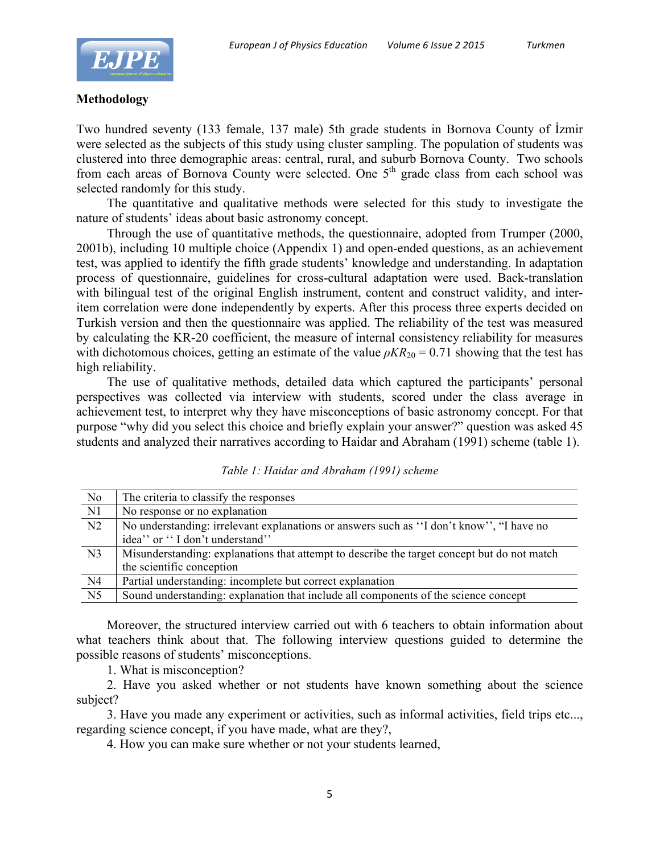

## **Methodology**

Two hundred seventy (133 female, 137 male) 5th grade students in Bornova County of İzmir were selected as the subjects of this study using cluster sampling. The population of students was clustered into three demographic areas: central, rural, and suburb Bornova County. Two schools from each areas of Bornova County were selected. One  $5<sup>th</sup>$  grade class from each school was selected randomly for this study.

The quantitative and qualitative methods were selected for this study to investigate the nature of students' ideas about basic astronomy concept.

Through the use of quantitative methods, the questionnaire, adopted from Trumper (2000, 2001b), including 10 multiple choice (Appendix 1) and open-ended questions, as an achievement test, was applied to identify the fifth grade students' knowledge and understanding. In adaptation process of questionnaire, guidelines for cross-cultural adaptation were used. Back-translation with bilingual test of the original English instrument, content and construct validity, and interitem correlation were done independently by experts. After this process three experts decided on Turkish version and then the questionnaire was applied. The reliability of the test was measured by calculating the KR-20 coefficient, the measure of internal consistency reliability for measures with dichotomous choices, getting an estimate of the value  $\rho K R_{20} = 0.71$  showing that the test has high reliability.

The use of qualitative methods, detailed data which captured the participants' personal perspectives was collected via interview with students, scored under the class average in achievement test, to interpret why they have misconceptions of basic astronomy concept. For that purpose "why did you select this choice and briefly explain your answer?" question was asked 45 students and analyzed their narratives according to Haidar and Abraham (1991) scheme (table 1).

| No             | The criteria to classify the responses                                                      |
|----------------|---------------------------------------------------------------------------------------------|
| N1             | No response or no explanation                                                               |
| N <sub>2</sub> | No understanding: irrelevant explanations or answers such as "I don't know", "I have no     |
|                | idea" or "I don't understand"                                                               |
| N <sub>3</sub> | Misunderstanding: explanations that attempt to describe the target concept but do not match |
|                |                                                                                             |
|                | the scientific conception                                                                   |
| N4             | Partial understanding: incomplete but correct explanation                                   |

*Table 1: Haidar and Abraham (1991) scheme*

Moreover, the structured interview carried out with 6 teachers to obtain information about what teachers think about that. The following interview questions guided to determine the possible reasons of students' misconceptions.

1. What is misconception?

2. Have you asked whether or not students have known something about the science subject?

3. Have you made any experiment or activities, such as informal activities, field trips etc..., regarding science concept, if you have made, what are they?,

4. How you can make sure whether or not your students learned,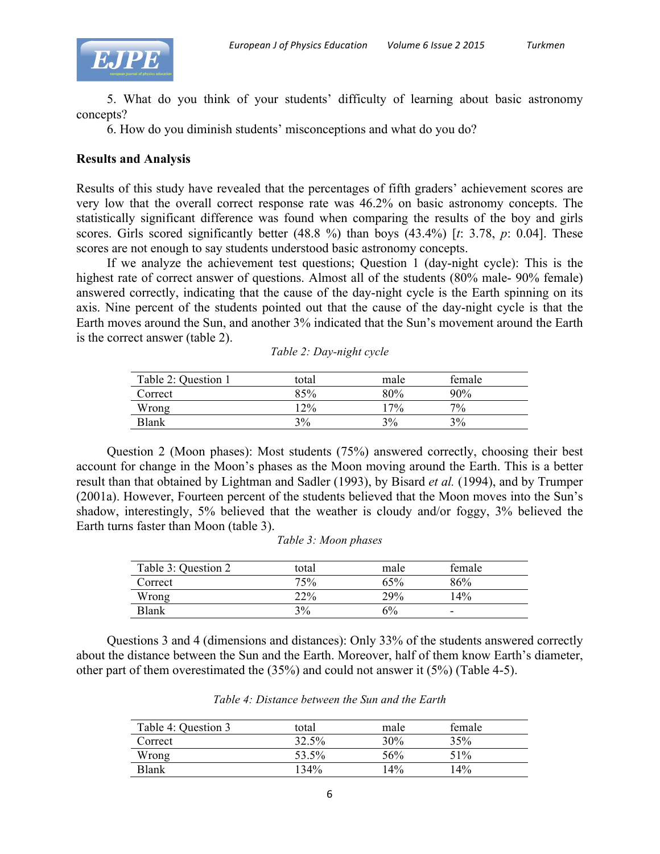

5. What do you think of your students' difficulty of learning about basic astronomy concepts?

6. How do you diminish students' misconceptions and what do you do?

## **Results and Analysis**

Results of this study have revealed that the percentages of fifth graders' achievement scores are very low that the overall correct response rate was 46.2% on basic astronomy concepts. The statistically significant difference was found when comparing the results of the boy and girls scores. Girls scored significantly better (48.8 %) than boys (43.4%) [*t*: 3.78, *p*: 0.04]. These scores are not enough to say students understood basic astronomy concepts.

If we analyze the achievement test questions; Question 1 (day-night cycle): This is the highest rate of correct answer of questions. Almost all of the students (80% male- 90% female) answered correctly, indicating that the cause of the day-night cycle is the Earth spinning on its axis. Nine percent of the students pointed out that the cause of the day-night cycle is that the Earth moves around the Sun, and another 3% indicated that the Sun's movement around the Earth is the correct answer (table 2).  $T112D+1$ 

| Table 2: Question 1 | total  | male   | female |  |
|---------------------|--------|--------|--------|--|
| Correct             | 85%    | 80%    | 90%    |  |
| Wrong               | $12\%$ | $17\%$ | 7%     |  |
| <b>Blank</b>        | 3%     | 3%     | 3%     |  |

|  | Table 2: Day-night cycle |  |
|--|--------------------------|--|
|  |                          |  |

Question 2 (Moon phases): Most students (75%) answered correctly, choosing their best account for change in the Moon's phases as the Moon moving around the Earth. This is a better result than that obtained by Lightman and Sadler (1993), by Bisard *et al.* (1994), and by Trumper (2001a). However, Fourteen percent of the students believed that the Moon moves into the Sun's shadow, interestingly, 5% believed that the weather is cloudy and/or foggy, 3% believed the Earth turns faster than Moon (table 3).

| Table 3: Question 2 | total | male | female |
|---------------------|-------|------|--------|
| Correct             | 75%   | 65%  | 86%    |
| Wrong               | 22%   | 29%  | 14%    |
| <b>Blank</b>        | 3%    | 6%   | -      |

Questions 3 and 4 (dimensions and distances): Only 33% of the students answered correctly about the distance between the Sun and the Earth. Moreover, half of them know Earth's diameter, other part of them overestimated the (35%) and could not answer it (5%) (Table 4-5).

| Table 4: Question 3 | total | male | female |  |
|---------------------|-------|------|--------|--|
| Correct             | 32.5% | 30%  | 35%    |  |
| Wrong               | 53.5% | 56%  | 51%    |  |
| <b>Blank</b>        | 134%  | 14%  | 14%    |  |

*Table 4: Distance between the Sun and the Earth*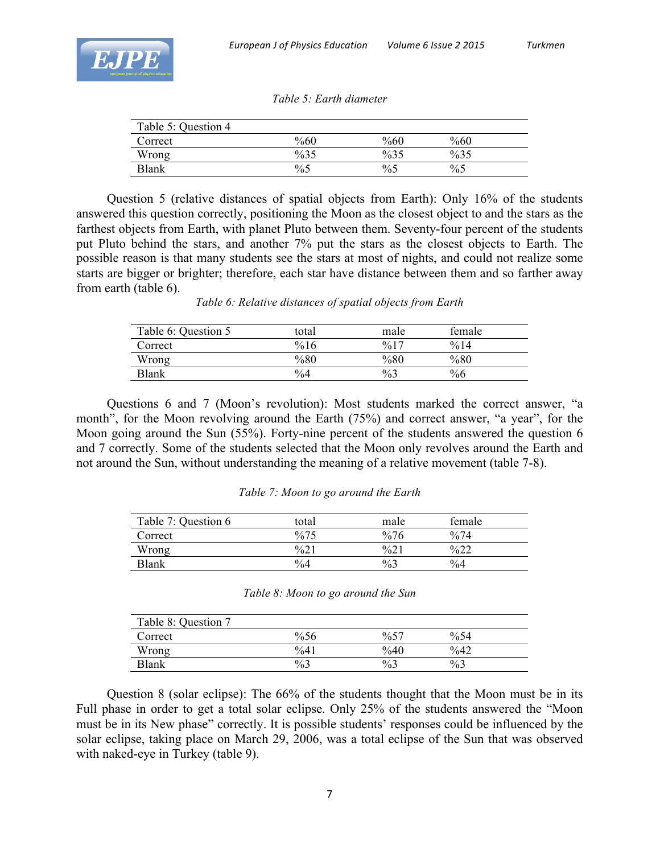

| Table 5: Question 4 |        |        |        |  |
|---------------------|--------|--------|--------|--|
| Correct             | %60    | %60    | $\%60$ |  |
| Wrong               | $\%35$ | $\%35$ | $\%35$ |  |
| <b>Blank</b>        | $\%5$  | $\%5$  | $\%5$  |  |

*Table 5: Earth diameter*

Question 5 (relative distances of spatial objects from Earth): Only 16% of the students answered this question correctly, positioning the Moon as the closest object to and the stars as the farthest objects from Earth, with planet Pluto between them. Seventy-four percent of the students put Pluto behind the stars, and another 7% put the stars as the closest objects to Earth. The possible reason is that many students see the stars at most of nights, and could not realize some starts are bigger or brighter; therefore, each star have distance between them and so farther away from earth (table 6).

*Table 6: Relative distances of spatial objects from Earth*

| Table 6: Question 5 | total         | male             | female           |  |
|---------------------|---------------|------------------|------------------|--|
| Correct             | %16           | $\frac{9}{6}$ 17 | $\frac{0}{6}$ 14 |  |
| Wrong               | $\%80$        | $\%80$           | $\%80$           |  |
| Blank               | $\frac{0}{4}$ | $\frac{0}{0}$    | $\%6$            |  |

Questions 6 and 7 (Moon's revolution): Most students marked the correct answer, "a month", for the Moon revolving around the Earth (75%) and correct answer, "a year", for the Moon going around the Sun (55%). Forty-nine percent of the students answered the question 6 and 7 correctly. Some of the students selected that the Moon only revolves around the Earth and not around the Sun, without understanding the meaning of a relative movement (table 7-8).

|  |  |  | Table 7: Moon to go around the Earth |  |  |
|--|--|--|--------------------------------------|--|--|
|--|--|--|--------------------------------------|--|--|

| Table 7: Question 6 | total            | male             | female           |  |
|---------------------|------------------|------------------|------------------|--|
| Correct             | $\frac{9}{6}$ 75 | $\frac{0}{6}$ 76 | $\frac{0}{6}$ 74 |  |
| Wrong               | %21              | %2               | $\frac{622}{2}$  |  |
| Blank               | $\%4$            | $\%3$            | $\frac{0}{6}$    |  |

| Table 8: Moon to go around the Sun |  |
|------------------------------------|--|
|------------------------------------|--|

| Table 8: Question 7 |        |        |                |  |
|---------------------|--------|--------|----------------|--|
| Correct             | %56    | $\%57$ | $\%54$         |  |
| Wrong               | $\%41$ | $\%40$ | $\frac{6}{42}$ |  |
| Blank               | $\%3$  | $\%3$  | $\%3$          |  |

Question 8 (solar eclipse): The 66% of the students thought that the Moon must be in its Full phase in order to get a total solar eclipse. Only 25% of the students answered the "Moon must be in its New phase" correctly. It is possible students' responses could be influenced by the solar eclipse, taking place on March 29, 2006, was a total eclipse of the Sun that was observed with naked-eye in Turkey (table 9).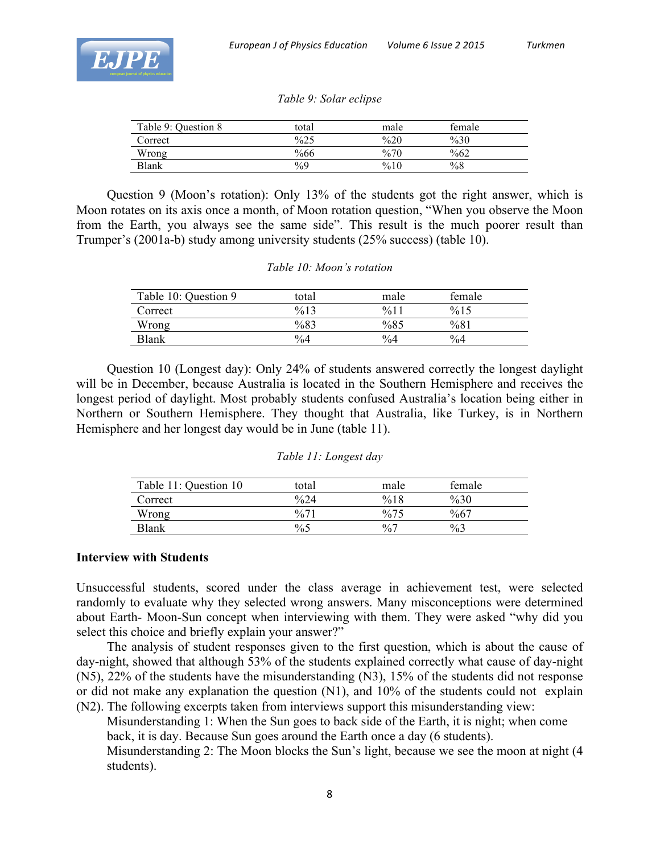

| Table 9: Question 8 | total         | male   | female |  |
|---------------------|---------------|--------|--------|--|
| Correct             | $\%25$        | $\%20$ | $\%30$ |  |
| Wrong               | $\%66$        | %70    | $\%62$ |  |
| Blank               | $\frac{0}{0}$ | %10    | $\%8$  |  |

Question 9 (Moon's rotation): Only 13% of the students got the right answer, which is Moon rotates on its axis once a month, of Moon rotation question, "When you observe the Moon from the Earth, you always see the same side". This result is the much poorer result than Trumper's (2001a-b) study among university students (25% success) (table 10).

### *Table 10: Moon's rotation*

| Table 10: Question 9 | total            | male             | female |  |
|----------------------|------------------|------------------|--------|--|
| Correct              | $\frac{9}{6}$ 13 | $\frac{9}{6}$ 11 | %15    |  |
| Wrong                | %83              | %85              | %81    |  |
| <b>Blank</b>         | $\%4$            | $\frac{0}{6}$    | $\%4$  |  |

Question 10 (Longest day): Only 24% of students answered correctly the longest daylight will be in December, because Australia is located in the Southern Hemisphere and receives the longest period of daylight. Most probably students confused Australia's location being either in Northern or Southern Hemisphere. They thought that Australia, like Turkey, is in Northern Hemisphere and her longest day would be in June (table 11).

|  |  | Table 11: Longest day |  |
|--|--|-----------------------|--|
|--|--|-----------------------|--|

| Table 11: Question 10 | total           | male            | female |  |
|-----------------------|-----------------|-----------------|--------|--|
| Correct               | $\frac{624}{ }$ | %18             | $\%30$ |  |
| Wrong                 | %71             | $\frac{0}{675}$ | %67    |  |
| Blank                 | $\%5$           | $\frac{0}{0}$   | $\%3$  |  |

## **Interview with Students**

Unsuccessful students, scored under the class average in achievement test, were selected randomly to evaluate why they selected wrong answers. Many misconceptions were determined about Earth- Moon-Sun concept when interviewing with them. They were asked "why did you select this choice and briefly explain your answer?"

The analysis of student responses given to the first question, which is about the cause of day-night, showed that although 53% of the students explained correctly what cause of day-night (N5), 22% of the students have the misunderstanding (N3), 15% of the students did not response or did not make any explanation the question (N1), and 10% of the students could not explain (N2). The following excerpts taken from interviews support this misunderstanding view:

Misunderstanding 1: When the Sun goes to back side of the Earth, it is night; when come back, it is day. Because Sun goes around the Earth once a day (6 students).

Misunderstanding 2: The Moon blocks the Sun's light, because we see the moon at night (4 students).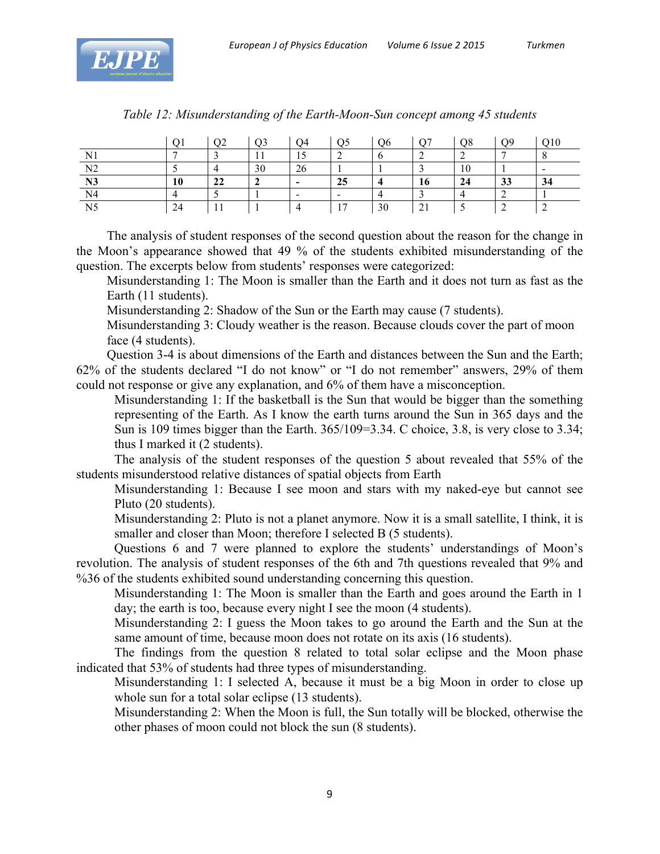

|                | O <sup>t</sup> | O <sub>2</sub> | Q <sub>3</sub> | О4                       | Q5             | Q <sub>6</sub> | O7 | Q8 | Ο9 | Q10 |
|----------------|----------------|----------------|----------------|--------------------------|----------------|----------------|----|----|----|-----|
| N <sub>1</sub> |                |                |                | 1c<br>⊥ J                |                | О              |    |    |    |     |
| N <sub>2</sub> |                |                | 30             | 26                       |                |                |    | 10 |    |     |
| N <sub>3</sub> | 10             | 22             |                | $\overline{\phantom{0}}$ | 25             |                | 16 | 24 | 33 | 34  |
| N <sub>4</sub> |                |                |                |                          |                |                |    |    |    |     |
| N <sub>5</sub> | 24             |                |                |                          | 1 <sub>7</sub> | 30             |    |    |    |     |

| Table 12: Misunderstanding of the Earth-Moon-Sun concept among 45 students |  |  |  |  |
|----------------------------------------------------------------------------|--|--|--|--|
|----------------------------------------------------------------------------|--|--|--|--|

The analysis of student responses of the second question about the reason for the change in the Moon's appearance showed that 49 % of the students exhibited misunderstanding of the question. The excerpts below from students' responses were categorized:

Misunderstanding 1: The Moon is smaller than the Earth and it does not turn as fast as the Earth (11 students).

Misunderstanding 2: Shadow of the Sun or the Earth may cause (7 students).

Misunderstanding 3: Cloudy weather is the reason. Because clouds cover the part of moon face (4 students).

Question 3-4 is about dimensions of the Earth and distances between the Sun and the Earth; 62% of the students declared "I do not know" or "I do not remember" answers, 29% of them could not response or give any explanation, and 6% of them have a misconception.

Misunderstanding 1: If the basketball is the Sun that would be bigger than the something representing of the Earth. As I know the earth turns around the Sun in 365 days and the Sun is 109 times bigger than the Earth. 365/109=3.34. C choice, 3.8, is very close to 3.34; thus I marked it (2 students).

The analysis of the student responses of the question 5 about revealed that 55% of the students misunderstood relative distances of spatial objects from Earth

Misunderstanding 1: Because I see moon and stars with my naked-eye but cannot see Pluto (20 students).

Misunderstanding 2: Pluto is not a planet anymore. Now it is a small satellite, I think, it is smaller and closer than Moon; therefore I selected B (5 students).

Questions 6 and 7 were planned to explore the students' understandings of Moon's revolution. The analysis of student responses of the 6th and 7th questions revealed that 9% and %36 of the students exhibited sound understanding concerning this question.

Misunderstanding 1: The Moon is smaller than the Earth and goes around the Earth in 1 day; the earth is too, because every night I see the moon (4 students).

Misunderstanding 2: I guess the Moon takes to go around the Earth and the Sun at the same amount of time, because moon does not rotate on its axis (16 students).

The findings from the question 8 related to total solar eclipse and the Moon phase indicated that 53% of students had three types of misunderstanding.

Misunderstanding 1: I selected A, because it must be a big Moon in order to close up whole sun for a total solar eclipse (13 students).

Misunderstanding 2: When the Moon is full, the Sun totally will be blocked, otherwise the other phases of moon could not block the sun (8 students).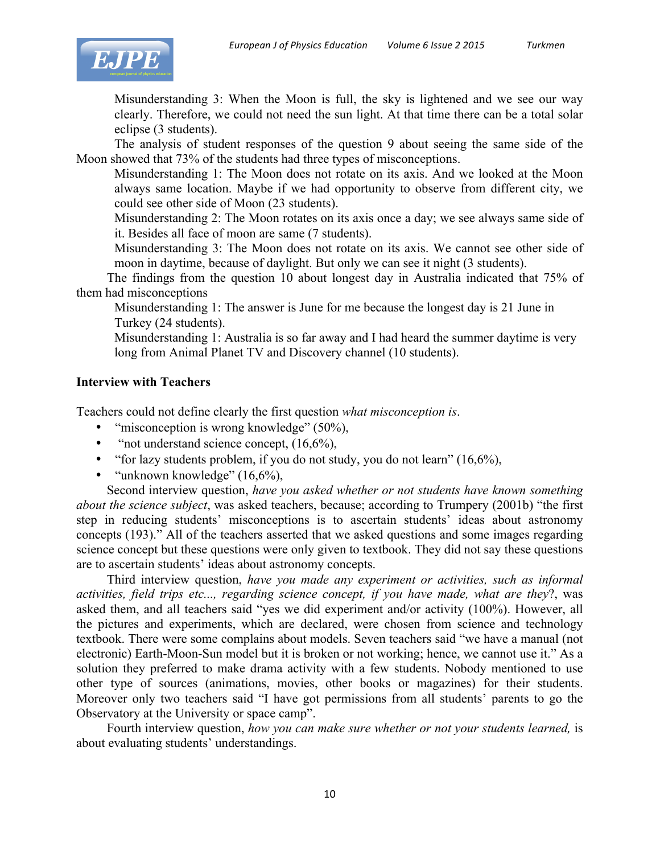

Misunderstanding 3: When the Moon is full, the sky is lightened and we see our way clearly. Therefore, we could not need the sun light. At that time there can be a total solar eclipse (3 students).

The analysis of student responses of the question 9 about seeing the same side of the Moon showed that 73% of the students had three types of misconceptions.

Misunderstanding 1: The Moon does not rotate on its axis. And we looked at the Moon always same location. Maybe if we had opportunity to observe from different city, we could see other side of Moon (23 students).

Misunderstanding 2: The Moon rotates on its axis once a day; we see always same side of it. Besides all face of moon are same (7 students).

Misunderstanding 3: The Moon does not rotate on its axis. We cannot see other side of moon in daytime, because of daylight. But only we can see it night (3 students).

The findings from the question 10 about longest day in Australia indicated that 75% of them had misconceptions

Misunderstanding 1: The answer is June for me because the longest day is 21 June in Turkey (24 students).

Misunderstanding 1: Australia is so far away and I had heard the summer daytime is very long from Animal Planet TV and Discovery channel (10 students).

## **Interview with Teachers**

Teachers could not define clearly the first question *what misconception is*.

- "misconception is wrong knowledge" (50%),
- "not understand science concept,  $(16,6\%)$ ,
- "for lazy students problem, if you do not study, you do not learn"  $(16,6\%)$ ,
- "unknown knowledge" (16,6%).

Second interview question, *have you asked whether or not students have known something about the science subject*, was asked teachers, because; according to Trumpery (2001b) "the first step in reducing students' misconceptions is to ascertain students' ideas about astronomy concepts (193)." All of the teachers asserted that we asked questions and some images regarding science concept but these questions were only given to textbook. They did not say these questions are to ascertain students' ideas about astronomy concepts.

Third interview question, *have you made any experiment or activities, such as informal activities, field trips etc..., regarding science concept, if you have made, what are they*?, was asked them, and all teachers said "yes we did experiment and/or activity (100%). However, all the pictures and experiments, which are declared, were chosen from science and technology textbook. There were some complains about models. Seven teachers said "we have a manual (not electronic) Earth-Moon-Sun model but it is broken or not working; hence, we cannot use it." As a solution they preferred to make drama activity with a few students. Nobody mentioned to use other type of sources (animations, movies, other books or magazines) for their students. Moreover only two teachers said "I have got permissions from all students' parents to go the Observatory at the University or space camp".

Fourth interview question, *how you can make sure whether or not your students learned,* is about evaluating students' understandings.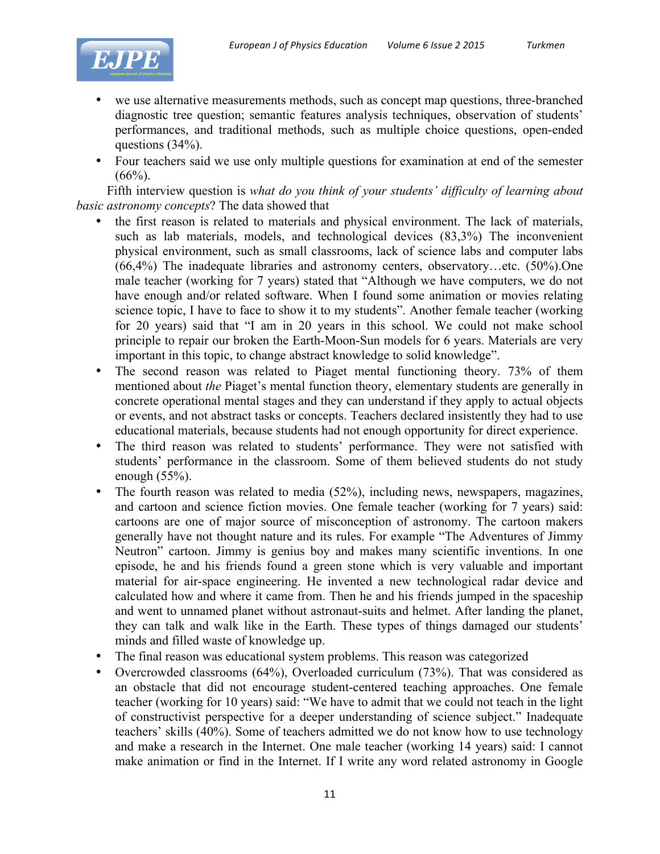

- we use alternative measurements methods, such as concept map questions, three-branched diagnostic tree question; semantic features analysis techniques, observation of students' performances, and traditional methods, such as multiple choice questions, open-ended questions (34%).
- Four teachers said we use only multiple questions for examination at end of the semester  $(66\%)$ .

Fifth interview question is *what do you think of your students' difficulty of learning about basic astronomy concepts*? The data showed that

- the first reason is related to materials and physical environment. The lack of materials, such as lab materials, models, and technological devices (83,3%) The inconvenient physical environment, such as small classrooms, lack of science labs and computer labs (66,4%) The inadequate libraries and astronomy centers, observatory…etc. (50%).One male teacher (working for 7 years) stated that "Although we have computers, we do not have enough and/or related software. When I found some animation or movies relating science topic, I have to face to show it to my students". Another female teacher (working for 20 years) said that "I am in 20 years in this school. We could not make school principle to repair our broken the Earth-Moon-Sun models for 6 years. Materials are very important in this topic, to change abstract knowledge to solid knowledge".
- The second reason was related to Piaget mental functioning theory. 73% of them mentioned about *the* Piaget's mental function theory, elementary students are generally in concrete operational mental stages and they can understand if they apply to actual objects or events, and not abstract tasks or concepts. Teachers declared insistently they had to use educational materials, because students had not enough opportunity for direct experience.
- The third reason was related to students' performance. They were not satisfied with students' performance in the classroom. Some of them believed students do not study enough (55%).
- The fourth reason was related to media (52%), including news, newspapers, magazines, and cartoon and science fiction movies. One female teacher (working for 7 years) said: cartoons are one of major source of misconception of astronomy. The cartoon makers generally have not thought nature and its rules. For example "The Adventures of Jimmy Neutron" cartoon. Jimmy is genius boy and makes many scientific inventions. In one episode, he and his friends found a green stone which is very valuable and important material for air-space engineering. He invented a new technological radar device and calculated how and where it came from. Then he and his friends jumped in the spaceship and went to unnamed planet without astronaut-suits and helmet. After landing the planet, they can talk and walk like in the Earth. These types of things damaged our students' minds and filled waste of knowledge up.
- The final reason was educational system problems. This reason was categorized
- Overcrowded classrooms (64%), Overloaded curriculum (73%). That was considered as an obstacle that did not encourage student-centered teaching approaches. One female teacher (working for 10 years) said: "We have to admit that we could not teach in the light of constructivist perspective for a deeper understanding of science subject." Inadequate teachers' skills (40%). Some of teachers admitted we do not know how to use technology and make a research in the Internet. One male teacher (working 14 years) said: I cannot make animation or find in the Internet. If I write any word related astronomy in Google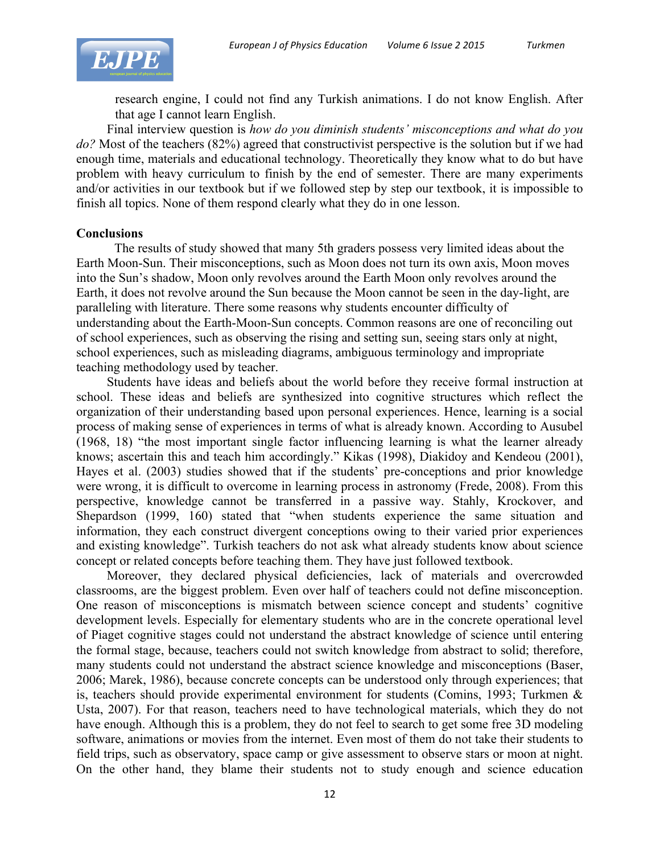

research engine, I could not find any Turkish animations. I do not know English. After that age I cannot learn English.

Final interview question is *how do you diminish students' misconceptions and what do you do?* Most of the teachers (82%) agreed that constructivist perspective is the solution but if we had enough time, materials and educational technology. Theoretically they know what to do but have problem with heavy curriculum to finish by the end of semester. There are many experiments and/or activities in our textbook but if we followed step by step our textbook, it is impossible to finish all topics. None of them respond clearly what they do in one lesson.

### **Conclusions**

The results of study showed that many 5th graders possess very limited ideas about the Earth Moon-Sun. Their misconceptions, such as Moon does not turn its own axis, Moon moves into the Sun's shadow, Moon only revolves around the Earth Moon only revolves around the Earth, it does not revolve around the Sun because the Moon cannot be seen in the day-light, are paralleling with literature. There some reasons why students encounter difficulty of understanding about the Earth-Moon-Sun concepts. Common reasons are one of reconciling out of school experiences, such as observing the rising and setting sun, seeing stars only at night, school experiences, such as misleading diagrams, ambiguous terminology and impropriate teaching methodology used by teacher.

Students have ideas and beliefs about the world before they receive formal instruction at school. These ideas and beliefs are synthesized into cognitive structures which reflect the organization of their understanding based upon personal experiences. Hence, learning is a social process of making sense of experiences in terms of what is already known. According to Ausubel (1968, 18) "the most important single factor influencing learning is what the learner already knows; ascertain this and teach him accordingly." Kikas (1998), Diakidoy and Kendeou (2001), Hayes et al. (2003) studies showed that if the students' pre-conceptions and prior knowledge were wrong, it is difficult to overcome in learning process in astronomy (Frede, 2008). From this perspective, knowledge cannot be transferred in a passive way. Stahly, Krockover, and Shepardson (1999, 160) stated that "when students experience the same situation and information, they each construct divergent conceptions owing to their varied prior experiences and existing knowledge". Turkish teachers do not ask what already students know about science concept or related concepts before teaching them. They have just followed textbook.

Moreover, they declared physical deficiencies, lack of materials and overcrowded classrooms, are the biggest problem. Even over half of teachers could not define misconception. One reason of misconceptions is mismatch between science concept and students' cognitive development levels. Especially for elementary students who are in the concrete operational level of Piaget cognitive stages could not understand the abstract knowledge of science until entering the formal stage, because, teachers could not switch knowledge from abstract to solid; therefore, many students could not understand the abstract science knowledge and misconceptions (Baser, 2006; Marek, 1986), because concrete concepts can be understood only through experiences; that is, teachers should provide experimental environment for students (Comins, 1993; Turkmen & Usta, 2007). For that reason, teachers need to have technological materials, which they do not have enough. Although this is a problem, they do not feel to search to get some free 3D modeling software, animations or movies from the internet. Even most of them do not take their students to field trips, such as observatory, space camp or give assessment to observe stars or moon at night. On the other hand, they blame their students not to study enough and science education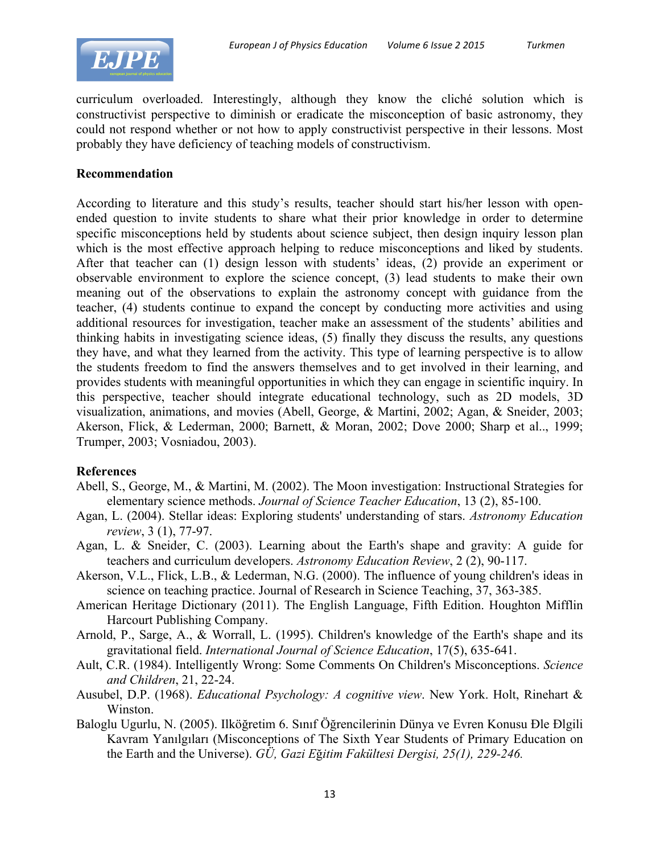

curriculum overloaded. Interestingly, although they know the cliché solution which is constructivist perspective to diminish or eradicate the misconception of basic astronomy, they could not respond whether or not how to apply constructivist perspective in their lessons. Most probably they have deficiency of teaching models of constructivism.

## **Recommendation**

According to literature and this study's results, teacher should start his/her lesson with openended question to invite students to share what their prior knowledge in order to determine specific misconceptions held by students about science subject, then design inquiry lesson plan which is the most effective approach helping to reduce misconceptions and liked by students. After that teacher can (1) design lesson with students' ideas, (2) provide an experiment or observable environment to explore the science concept, (3) lead students to make their own meaning out of the observations to explain the astronomy concept with guidance from the teacher, (4) students continue to expand the concept by conducting more activities and using additional resources for investigation, teacher make an assessment of the students' abilities and thinking habits in investigating science ideas, (5) finally they discuss the results, any questions they have, and what they learned from the activity. This type of learning perspective is to allow the students freedom to find the answers themselves and to get involved in their learning, and provides students with meaningful opportunities in which they can engage in scientific inquiry. In this perspective, teacher should integrate educational technology, such as 2D models, 3D visualization, animations, and movies (Abell, George, & Martini, 2002; Agan, & Sneider, 2003; Akerson, Flick, & Lederman, 2000; Barnett, & Moran, 2002; Dove 2000; Sharp et al.., 1999; Trumper, 2003; Vosniadou, 2003).

## **References**

- Abell, S., George, M., & Martini, M. (2002). The Moon investigation: Instructional Strategies for elementary science methods. *Journal of Science Teacher Education*, 13 (2), 85-100.
- Agan, L. (2004). Stellar ideas: Exploring students' understanding of stars. *Astronomy Education review*, 3 (1), 77-97.
- Agan, L. & Sneider, C. (2003). Learning about the Earth's shape and gravity: A guide for teachers and curriculum developers. *Astronomy Education Review*, 2 (2), 90-117.
- Akerson, V.L., Flick, L.B., & Lederman, N.G. (2000). The influence of young children's ideas in science on teaching practice. Journal of Research in Science Teaching, 37, 363-385.
- American Heritage Dictionary (2011). The English Language, Fifth Edition. Houghton Mifflin Harcourt Publishing Company.
- Arnold, P., Sarge, A., & Worrall, L. (1995). Children's knowledge of the Earth's shape and its gravitational field. *International Journal of Science Education*, 17(5), 635-641.
- Ault, C.R. (1984). Intelligently Wrong: Some Comments On Children's Misconceptions. *Science and Children*, 21, 22-24.
- Ausubel, D.P. (1968). *Educational Psychology: A cognitive view*. New York. Holt, Rinehart & Winston.
- Baloglu Ugurlu, N. (2005). Ilköğretim 6. Sınıf Öğrencilerinin Dünya ve Evren Konusu Đle Đlgili Kavram Yanılgıları (Misconceptions of The Sixth Year Students of Primary Education on the Earth and the Universe). *GÜ, Gazi E*ğ*itim Fakültesi Dergisi, 25(1), 229-246.*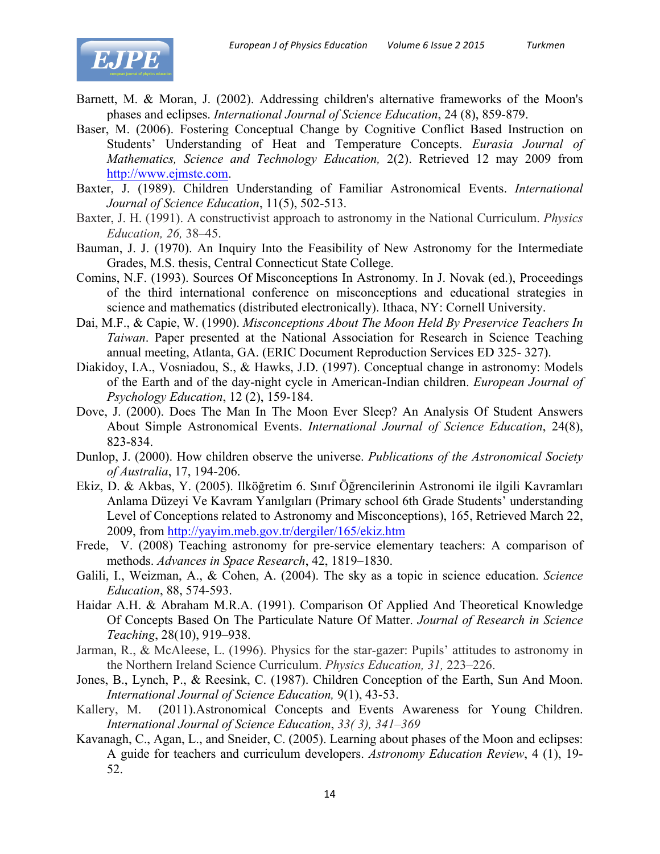

- Barnett, M. & Moran, J. (2002). Addressing children's alternative frameworks of the Moon's phases and eclipses. *International Journal of Science Education*, 24 (8), 859-879.
- Baser, M. (2006). Fostering Conceptual Change by Cognitive Conflict Based Instruction on Students' Understanding of Heat and Temperature Concepts. *Eurasia Journal of Mathematics, Science and Technology Education,* 2(2). Retrieved 12 may 2009 from http://www.ejmste.com.
- Baxter, J. (1989). Children Understanding of Familiar Astronomical Events. *International Journal of Science Education*, 11(5), 502-513.
- Baxter, J. H. (1991). A constructivist approach to astronomy in the National Curriculum. *Physics Education, 26,* 38–45.
- Bauman, J. J. (1970). An Inquiry Into the Feasibility of New Astronomy for the Intermediate Grades, M.S. thesis, Central Connecticut State College.
- Comins, N.F. (1993). Sources Of Misconceptions In Astronomy. In J. Novak (ed.), Proceedings of the third international conference on misconceptions and educational strategies in science and mathematics (distributed electronically). Ithaca, NY: Cornell University.
- Dai, M.F., & Capie, W. (1990). *Misconceptions About The Moon Held By Preservice Teachers In Taiwan*. Paper presented at the National Association for Research in Science Teaching annual meeting, Atlanta, GA. (ERIC Document Reproduction Services ED 325- 327).
- Diakidoy, I.A., Vosniadou, S., & Hawks, J.D. (1997). Conceptual change in astronomy: Models of the Earth and of the day-night cycle in American-Indian children. *European Journal of Psychology Education*, 12 (2), 159-184.
- Dove, J. (2000). Does The Man In The Moon Ever Sleep? An Analysis Of Student Answers About Simple Astronomical Events. *International Journal of Science Education*, 24(8), 823-834.
- Dunlop, J. (2000). How children observe the universe. *Publications of the Astronomical Society of Australia*, 17, 194-206.
- Ekiz, D. & Akbas, Y. (2005). Ilköğretim 6. Sınıf Öğrencilerinin Astronomi ile ilgili Kavramları Anlama Düzeyi Ve Kavram Yanılgıları (Primary school 6th Grade Students' understanding Level of Conceptions related to Astronomy and Misconceptions), 165, Retrieved March 22, 2009, from http://yayim.meb.gov.tr/dergiler/165/ekiz.htm
- Frede, V. (2008) Teaching astronomy for pre-service elementary teachers: A comparison of methods. *Advances in Space Research*, 42, 1819–1830.
- Galili, I., Weizman, A., & Cohen, A. (2004). The sky as a topic in science education. *Science Education*, 88, 574-593.
- Haidar A.H. & Abraham M.R.A. (1991). Comparison Of Applied And Theoretical Knowledge Of Concepts Based On The Particulate Nature Of Matter. *Journal of Research in Science Teaching*, 28(10), 919–938.
- Jarman, R., & McAleese, L. (1996). Physics for the star-gazer: Pupils' attitudes to astronomy in the Northern Ireland Science Curriculum. *Physics Education, 31,* 223–226.
- Jones, B., Lynch, P., & Reesink, C. (1987). Children Conception of the Earth, Sun And Moon. *International Journal of Science Education,* 9(1), 43-53.
- Kallery, M. (2011).Astronomical Concepts and Events Awareness for Young Children. *International Journal of Science Education*, *33( 3), 341–369*
- Kavanagh, C., Agan, L., and Sneider, C. (2005). Learning about phases of the Moon and eclipses: A guide for teachers and curriculum developers. *Astronomy Education Review*, 4 (1), 19- 52.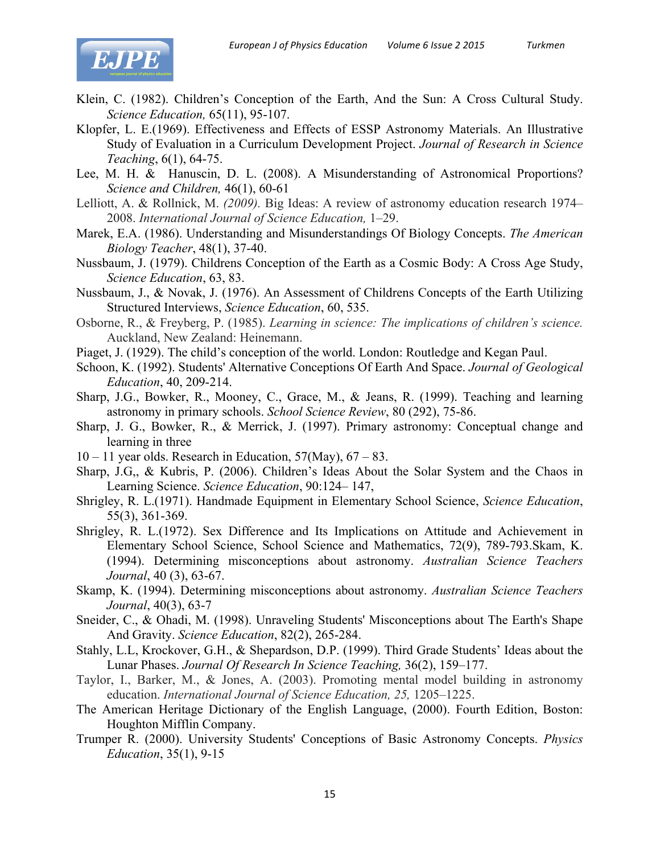

- Klein, C. (1982). Children's Conception of the Earth, And the Sun: A Cross Cultural Study. *Science Education,* 65(11), 95-107.
- Klopfer, L. E.(1969). Effectiveness and Effects of ESSP Astronomy Materials. An Illustrative Study of Evaluation in a Curriculum Development Project. *Journal of Research in Science Teaching*, 6(1), 64-75.
- Lee, M. H. & Hanuscin, D. L. (2008). A Misunderstanding of Astronomical Proportions? *Science and Children,* 46(1), 60-61
- Lelliott, A. & Rollnick, M. *(2009).* Big Ideas: A review of astronomy education research 1974– 2008. *International Journal of Science Education,* 1–29.
- Marek, E.A. (1986). Understanding and Misunderstandings Of Biology Concepts. *The American Biology Teacher*, 48(1), 37-40.
- Nussbaum, J. (1979). Childrens Conception of the Earth as a Cosmic Body: A Cross Age Study, *Science Education*, 63, 83.
- Nussbaum, J., & Novak, J. (1976). An Assessment of Childrens Concepts of the Earth Utilizing Structured Interviews, *Science Education*, 60, 535.
- Osborne, R., & Freyberg, P. (1985). *Learning in science: The implications of children's science.*  Auckland, New Zealand: Heinemann.
- Piaget, J. (1929). The child's conception of the world. London: Routledge and Kegan Paul.
- Schoon, K. (1992). Students' Alternative Conceptions Of Earth And Space. *Journal of Geological Education*, 40, 209-214.
- Sharp, J.G., Bowker, R., Mooney, C., Grace, M., & Jeans, R. (1999). Teaching and learning astronomy in primary schools. *School Science Review*, 80 (292), 75-86.
- Sharp, J. G., Bowker, R., & Merrick, J. (1997). Primary astronomy: Conceptual change and learning in three
- $10 11$  year olds. Research in Education,  $57$ (May),  $67 83$ .
- Sharp, J.G,, & Kubris, P. (2006). Children's Ideas About the Solar System and the Chaos in Learning Science. *Science Education*, 90:124– 147,
- Shrigley, R. L.(1971). Handmade Equipment in Elementary School Science, *Science Education*, 55(3), 361-369.
- Shrigley, R. L.(1972). Sex Difference and Its Implications on Attitude and Achievement in Elementary School Science, School Science and Mathematics, 72(9), 789-793.Skam, K. (1994). Determining misconceptions about astronomy. *Australian Science Teachers Journal*, 40 (3), 63-67.
- Skamp, K. (1994). Determining misconceptions about astronomy. *Australian Science Teachers Journal*, 40(3), 63-7
- Sneider, C., & Ohadi, M. (1998). Unraveling Students' Misconceptions about The Earth's Shape And Gravity. *Science Education*, 82(2), 265-284.
- Stahly, L.L, Krockover, G.H., & Shepardson, D.P. (1999). Third Grade Students' Ideas about the Lunar Phases. *Journal Of Research In Science Teaching,* 36(2), 159–177.
- Taylor, I., Barker, M., & Jones, A. (2003). Promoting mental model building in astronomy education. *International Journal of Science Education*, 25, 1205-1225.
- The American Heritage Dictionary of the English Language, (2000). Fourth Edition, Boston: Houghton Mifflin Company.
- Trumper R. (2000). University Students' Conceptions of Basic Astronomy Concepts. *Physics Education*, 35(1), 9-15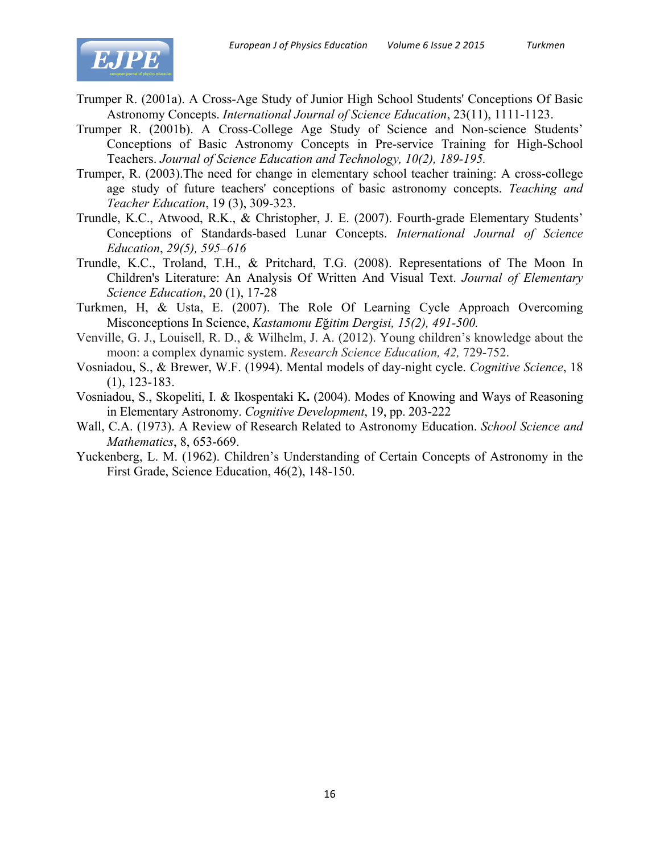

- Trumper R. (2001a). A Cross-Age Study of Junior High School Students' Conceptions Of Basic Astronomy Concepts. *International Journal of Science Education*, 23(11), 1111-1123.
- Trumper R. (2001b). A Cross-College Age Study of Science and Non-science Students' Conceptions of Basic Astronomy Concepts in Pre-service Training for High-School Teachers. *Journal of Science Education and Technology, 10(2), 189-195.*
- Trumper, R. (2003).The need for change in elementary school teacher training: A cross-college age study of future teachers' conceptions of basic astronomy concepts. *Teaching and Teacher Education*, 19 (3), 309-323.
- Trundle, K.C., Atwood, R.K., & Christopher, J. E. (2007). Fourth-grade Elementary Students' Conceptions of Standards-based Lunar Concepts. *International Journal of Science Education*, *29(5), 595–616*
- Trundle, K.C., Troland, T.H., & Pritchard, T.G. (2008). Representations of The Moon In Children's Literature: An Analysis Of Written And Visual Text. *Journal of Elementary Science Education*, 20 (1), 17-28
- Turkmen, H, & Usta, E. (2007). The Role Of Learning Cycle Approach Overcoming Misconceptions In Science, *Kastamonu E*ğ*itim Dergisi, 15(2), 491-500.*
- Venville, G. J., Louisell, R. D., & Wilhelm, J. A. (2012). Young children's knowledge about the moon: a complex dynamic system. *Research Science Education, 42,* 729-752.
- Vosniadou, S., & Brewer, W.F. (1994). Mental models of day-night cycle. *Cognitive Science*, 18 (1), 123-183.
- Vosniadou, S., Skopeliti, I. & Ikospentaki K**.** (2004). Modes of Knowing and Ways of Reasoning in Elementary Astronomy. *Cognitive Development*, 19, pp. 203-222
- Wall, C.A. (1973). A Review of Research Related to Astronomy Education. *School Science and Mathematics*, 8, 653-669.
- Yuckenberg, L. M. (1962). Children's Understanding of Certain Concepts of Astronomy in the First Grade, Science Education, 46(2), 148-150.